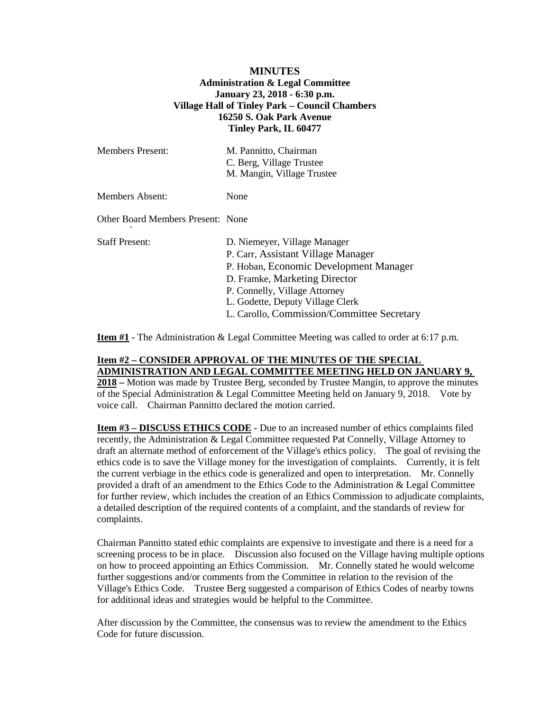## **MINUTES Administration & Legal Committee January 23, 2018 - 6:30 p.m. Village Hall of Tinley Park – Council Chambers 16250 S. Oak Park Avenue Tinley Park, IL 60477**

| <b>Members Present:</b>           | M. Pannitto, Chairman<br>C. Berg, Village Trustee<br>M. Mangin, Village Trustee                                                                                                                                                                                  |
|-----------------------------------|------------------------------------------------------------------------------------------------------------------------------------------------------------------------------------------------------------------------------------------------------------------|
| <b>Members Absent:</b>            | None                                                                                                                                                                                                                                                             |
| Other Board Members Present: None |                                                                                                                                                                                                                                                                  |
| <b>Staff Present:</b>             | D. Niemeyer, Village Manager<br>P. Carr, Assistant Village Manager<br>P. Hoban, Economic Development Manager<br>D. Framke, Marketing Director<br>P. Connelly, Village Attorney<br>L. Godette, Deputy Village Clerk<br>L. Carollo, Commission/Committee Secretary |

**Item #1** - The Administration & Legal Committee Meeting was called to order at 6:17 p.m.

## **Item #2 – CONSIDER APPROVAL OF THE MINUTES OF THE SPECIAL ADMINISTRATION AND LEGAL COMMITTEE MEETING HELD ON JANUARY 9,**

**2018 –** Motion was made by Trustee Berg, seconded by Trustee Mangin, to approve the minutes of the Special Administration & Legal Committee Meeting held on January 9, 2018. Vote by voice call. Chairman Pannitto declared the motion carried.

**Item #3 – DISCUSS ETHICS CODE -** Due to an increased number of ethics complaints filed recently, the Administration & Legal Committee requested Pat Connelly, Village Attorney to draft an alternate method of enforcement of the Village's ethics policy. The goal of revising the ethics code is to save the Village money for the investigation of complaints. Currently, it is felt the current verbiage in the ethics code is generalized and open to interpretation. Mr. Connelly provided a draft of an amendment to the Ethics Code to the Administration & Legal Committee for further review, which includes the creation of an Ethics Commission to adjudicate complaints, a detailed description of the required contents of a complaint, and the standards of review for complaints.

Chairman Pannitto stated ethic complaints are expensive to investigate and there is a need for a screening process to be in place. Discussion also focused on the Village having multiple options on how to proceed appointing an Ethics Commission. Mr. Connelly stated he would welcome further suggestions and/or comments from the Committee in relation to the revision of the Village's Ethics Code. Trustee Berg suggested a comparison of Ethics Codes of nearby towns for additional ideas and strategies would be helpful to the Committee.

After discussion by the Committee, the consensus was to review the amendment to the Ethics Code for future discussion.